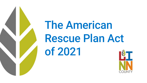

# The American Rescue Plan Act of 2021

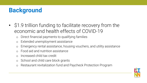# **Background**

- \$1.9 trillion funding to facilitate recovery from the economic and health effects of COVID-19
	- o Direct financial payments to qualifying families
	- o Extended unemployment assistance
	- o Emergency rental assistance, housing vouchers, and utility assistance
	- Food aid and nutrition assistance
	- o Increased child tax credit
	- o School and child care block grants
	- o Restaurant revitalization fund and Paycheck Protection Program

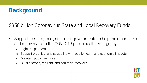

\$350 billion Coronavirus State and Local Recovery Funds

- Support to state, local, and tribal governments to help the response to and recovery from the COVID-19 public health emergency
	- o Fight the pandemic
	- o Support organizations struggling with public health and economic impacts
	- o Maintain public services
	- o Build a strong, resilient, and equitable recovery

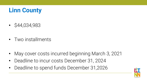# **Linn County**

• \$44,034,983

• Two installments

- May cover costs incurred beginning March 3, 2021
- Deadline to incur costs December 31, 2024
- Deadline to spend funds December 31,2026

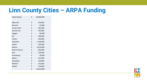#### **Linn County Cities – ARPA Funding**

| Cedar Rapids        | \$ | 28,000,000 |
|---------------------|----|------------|
|                     |    |            |
| Alburnett           | \$ | 104,000    |
| Bertram             | \$ | 43,000     |
| <b>Center Point</b> | \$ | 381,000    |
| <b>Central City</b> | \$ | 193,000    |
| Coggon              | \$ | 99,000     |
| Ely                 | \$ | 349,000    |
| Fairfax             | \$ | 426,000    |
| Hiawatha            | \$ | 1,106,000  |
| Lisbon              | Ś  | 335,000    |
| Marion              | \$ | 6,014,000  |
| <b>Mount Vernon</b> | \$ | 666,000    |
| Palo                | Ś  | 159,000    |
| Prairieburg         | \$ | 28,000     |
| <b>Robins</b>       | \$ | 527,000    |
| Springville         | \$ | 169,000    |
| Walford             | Ś  | 215,000    |
| Walker              | \$ | 118,000    |
|                     | \$ | 10,932,000 |

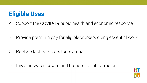#### **Eligible Uses**

A. Support the COVID-19 pubic health and economic response

B. Provide premium pay for eligible workers doing essential work

C. Replace lost public sector revenue

D. Invest in water, sewer, and broadband infrastructure

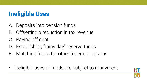### **Ineligible Uses**

- A. Deposits into pension funds
- B. Offsetting a reduction in tax revenue
- C. Paying off debt
- D. Establishing "rainy day" reserve funds
- E. Matching funds for other federal programs
- Ineligible uses of funds are subject to repayment

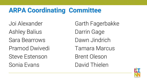# **ARPA Coordinating Committee**

Ashley Balius **Darrin Gage** Sara Bearrows Dawn Jindrich Pramod Dwivedi Tamara Marcus Steve Estenson Brent Oleson Sonia Evans David Thielen

Joi Alexander Garth Fagerbakke

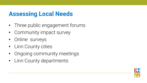#### **Assessing Local Needs**

- Three public engagement forums
- Community impact survey
- Online surveys
- Linn County cities
- Ongoing community meetings
- Linn County departments

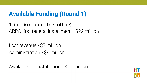# **Available Funding (Round 1)**

(Prior to issuance of the Final Rule) ARPA first federal installment - \$22 million

Lost revenue - \$7 million Administration - \$4 million

Available for distribution - \$11 million

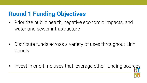# **Round 1 Funding Objectives**

• Prioritize public health, negative economic impacts, and water and sewer infrastructure

• Distribute funds across a variety of uses throughout Linn **County** 

• Invest in one-time uses that leverage other funding sources

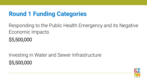#### **Round 1 Funding Categories**

Responding to the Public Health Emergency and its Negative Economic Impacts \$5,500,000

Investing in Water and Sewer Infrastructure \$5,500,000

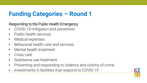#### **Funding Categories – Round 1**

#### Responding to the Public Health Emergency

- COVID-19 mitigation and prevention
- Public health services
- Medical expenses
- Behavioral health care and services
- Mental health treatment
- Crisis care
- Substance use treatment
- Preventing and responding to violence and victims of crime
- Investments in facilities that respond to COVID-19

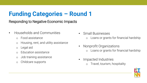# **Funding Categories – Round 1**

Responding to Negative Economic Impacts

- Households and Communities
	- o Food assistance
	- o Housing, rent, and utility assistance
	- o Legal aid
	- o Education assistance
	- o Job training assistance
	- o Childcare supports
- Small Businesses Loans or grants for financial hardship
- Nonprofit Organizations Loans or grants for financial hardship
- Impacted Industries Travel, tourism, hospitality
-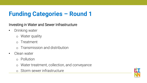### **Funding Categories – Round 1**

Investing in Water and Sewer Infrastructure

- Drinking water
	- o Water quality
	- o Treatment
	- o Transmission and distribution
- Clean water
	- o Pollution
	- o Water treatment, collection, and conveyance
	- o Storm sewer infrastructure

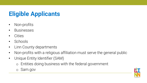# **Eligible Applicants**

- Non-profits
- Businesses
- Cities
- Schools
- Linn County departments
- Non-profits with a religious affiliation must serve the general public
- Unique Entity Identifier (SAM)
	- o Entities doing business with the federal government
	- o Sam.gov

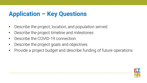### **Application – Key Questions**

- Describe the project, location, and population served
- Describe the project timeline and milestones
- Describe the COVID-19 connection
- Describe the project goals and objectives
- Provide a project budget and describe funding of future operations

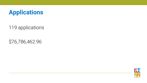

119 applications

\$76,786,462.96

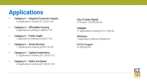# **Applications**

- Category A Negative Economic Impacts 16 applications totaling \$7,120,819.42
- Category  $A -$  Affordable Housing 4 applications totaling \$1,988,621.00
- Category  $A -$  Public Health 7 applications totaling \$3,356,817.00
- Category  $A -$  Social Services 17 applications totaling \$3,529,194.00
- Category A Capital Investments 21 applications totaling \$27,126,673.15
- Category D Water and Sewer 25 applications totaling \$21,504,473.39

City of Cedar Rapids 10 funded - \$3,000,000.00

Ineligible 17 applications totaling \$7,411,065.00

**Withdrawn** 1 application totaling \$748,800.00

PATCH Program \$1,000,000.00

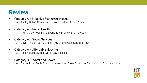#### **Review**

- Category A Negative Economic Impacts
	- o Ashley Balius, Sonia Evans, Dawn Jindrich, Staci Meade

#### Category  $A -$  Public Health

o Pramod Dwivedi, Sonia Evans, Eric Bradley, Brent Oleson

#### • Category A – Social Services

o David Thielen, Sonia Evans, Amy Grunewaldt, Sara Bearrows

#### • Category A – Affordable Housing

- o Ashley Balius, Sonia Evans, David Thielen
- Category  $D W$ ater and Sewer
	- o Darrin Gage, Sonia Evans, Joi Alexander, Steve Estenson, Tam Marcus, Charlie Nichols

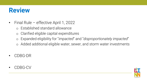### **Review**

- Final Rule effective April 1, 2022
	- o Established standard allowance
	- o Clarified eligible capital expenditures
	- o Expanded eligibility for "*impacted*" and "*disproportionately impacted*"
	- o Added additional eligible water, sewer, and storm water investments
- CDBG-DR
- CDBG-CV